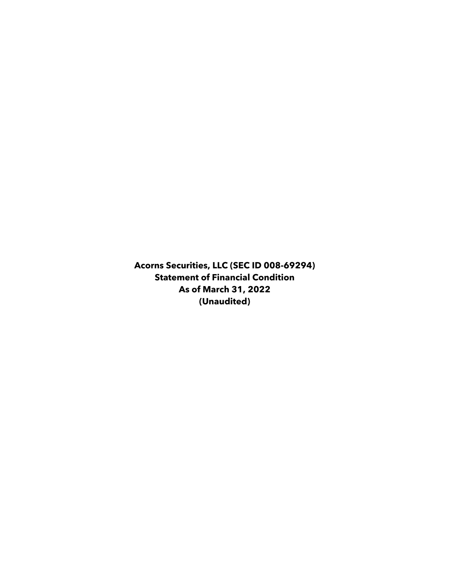**Acorns Securities, LLC (SEC ID 008-69294) Statement of Financial Condition As of March 31, 2022 (Unaudited)**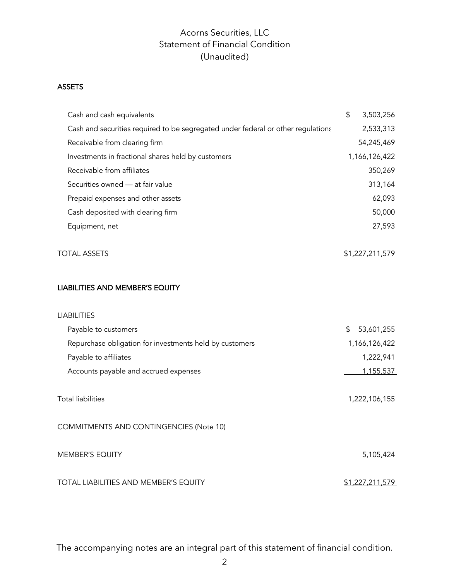# Acorns Securities, LLC Statement of Financial Condition (Unaudited)

#### **ASSETS ASSETS**

| Cash and cash equivalents                                                        | \$<br>3,503,256  |  |
|----------------------------------------------------------------------------------|------------------|--|
| Cash and securities required to be segregated under federal or other regulations | 2,533,313        |  |
| Receivable from clearing firm                                                    | 54,245,469       |  |
| Investments in fractional shares held by customers                               | 1,166,126,422    |  |
| Receivable from affiliates                                                       | 350,269          |  |
| Securities owned - at fair value                                                 | 313,164          |  |
| Prepaid expenses and other assets                                                | 62,093           |  |
| Cash deposited with clearing firm                                                | 50,000           |  |
| Equipment, net                                                                   | 27,593           |  |
| <b>TOTAL ASSETS</b>                                                              | \$1,227,211,579  |  |
| LIABILITIES AND MEMBER'S EQUITY                                                  |                  |  |
| <b>LIABILITIES</b>                                                               |                  |  |
| Payable to customers                                                             | \$<br>53,601,255 |  |
| Repurchase obligation for investments held by customers                          | 1,166,126,422    |  |
| Payable to affiliates                                                            | 1,222,941        |  |
| Accounts payable and accrued expenses                                            | 1,155,537        |  |
| <b>Total liabilities</b>                                                         | 1,222,106,155    |  |
| COMMITMENTS AND CONTINGENCIES (Note 10)                                          |                  |  |
| <b>MEMBER'S EQUITY</b>                                                           | 5,105,424        |  |
| TOTAL LIABILITIES AND MEMBER'S EQUITY                                            | \$1,227,211,579  |  |

The accompanying notes are an integral part of this statement of financial condition.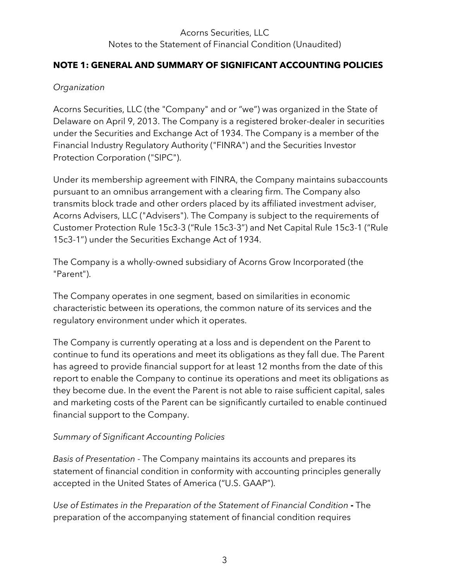# Acorns Securities, LLC Notes to the Statement of Financial Condition (Unaudited)

#### **NOTE 1: GENERAL AND SUMMARY OF SIGNIFICANT ACCOUNTING POLICIES**

#### *Organization*

Acorns Securities, LLC (the "Company" and or "we") was organized in the State of Delaware on April 9, 2013. The Company is a registered broker-dealer in securities under the Securities and Exchange Act of 1934. The Company is a member of the Financial Industry Regulatory Authority ("FINRA") and the Securities Investor Protection Corporation ("SIPC").

Under its membership agreement with FINRA, the Company maintains subaccounts pursuant to an omnibus arrangement with a clearing firm. The Company also transmits block trade and other orders placed by its affiliated investment adviser, Acorns Advisers, LLC ("Advisers"). The Company is subject to the requirements of Customer Protection Rule 15c3-3 ("Rule 15c3-3") and Net Capital Rule 15c3-1 ("Rule 15c3-1") under the Securities Exchange Act of 1934.

The Company is a wholly-owned subsidiary of Acorns Grow Incorporated (the "Parent").

The Company operates in one segment, based on similarities in economic characteristic between its operations, the common nature of its services and the regulatory environment under which it operates.

The Company is currently operating at a loss and is dependent on the Parent to continue to fund its operations and meet its obligations as they fall due. The Parent has agreed to provide financial support for at least 12 months from the date of this report to enable the Company to continue its operations and meet its obligations as they become due. In the event the Parent is not able to raise sufficient capital, sales and marketing costs of the Parent can be significantly curtailed to enable continued financial support to the Company.

# *Summary of Significant Accounting Policies*

*Basis of Presentation* - The Company maintains its accounts and prepares its statement of financial condition in conformity with accounting principles generally accepted in the United States of America ("U.S. GAAP").

*Use of Estimates in the Preparation of the Statement of Financial Condition* **-** The preparation of the accompanying statement of financial condition requires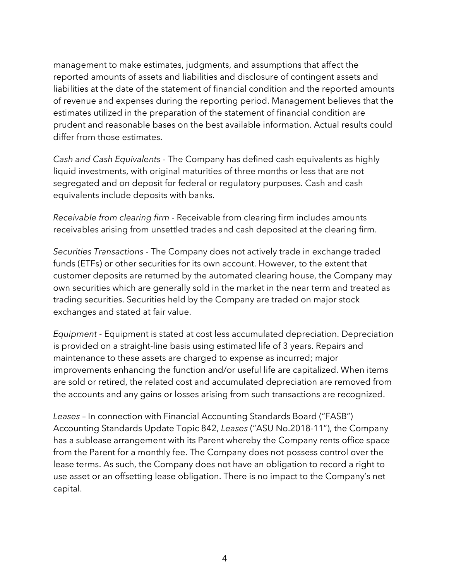management to make estimates, judgments, and assumptions that affect the reported amounts of assets and liabilities and disclosure of contingent assets and liabilities at the date of the statement of financial condition and the reported amounts of revenue and expenses during the reporting period. Management believes that the estimates utilized in the preparation of the statement of financial condition are prudent and reasonable bases on the best available information. Actual results could differ from those estimates.

*Cash and Cash Equivalents* - The Company has defined cash equivalents as highly liquid investments, with original maturities of three months or less that are not segregated and on deposit for federal or regulatory purposes. Cash and cash equivalents include deposits with banks.

*Receivable from clearing firm* - Receivable from clearing firm includes amounts receivables arising from unsettled trades and cash deposited at the clearing firm.

*Securities Transactions* - The Company does not actively trade in exchange traded funds (ETFs) or other securities for its own account. However, to the extent that customer deposits are returned by the automated clearing house, the Company may own securities which are generally sold in the market in the near term and treated as trading securities. Securities held by the Company are traded on major stock exchanges and stated at fair value.

*Equipment* - Equipment is stated at cost less accumulated depreciation. Depreciation is provided on a straight-line basis using estimated life of 3 years. Repairs and maintenance to these assets are charged to expense as incurred; major improvements enhancing the function and/or useful life are capitalized. When items are sold or retired, the related cost and accumulated depreciation are removed from the accounts and any gains or losses arising from such transactions are recognized.

*Leases* – In connection with Financial Accounting Standards Board ("FASB") Accounting Standards Update Topic 842, *Leases* ("ASU No.2018-11"), the Company has a sublease arrangement with its Parent whereby the Company rents office space from the Parent for a monthly fee. The Company does not possess control over the lease terms. As such, the Company does not have an obligation to record a right to use asset or an offsetting lease obligation. There is no impact to the Company's net capital.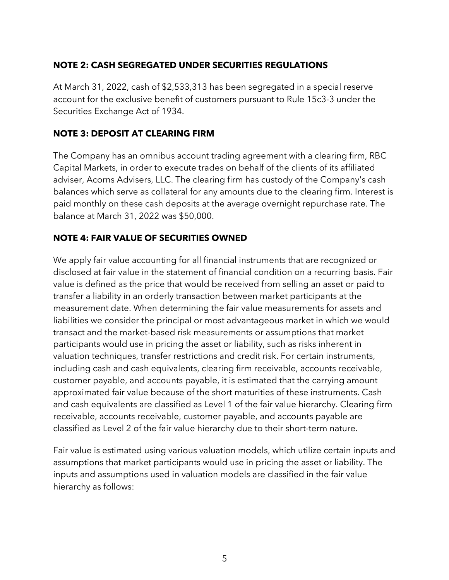# **NOTE 2: CASH SEGREGATED UNDER SECURITIES REGULATIONS**

At March 31, 2022, cash of \$2,533,313 has been segregated in a special reserve account for the exclusive benefit of customers pursuant to Rule 15c3-3 under the Securities Exchange Act of 1934.

# **NOTE 3: DEPOSIT AT CLEARING FIRM**

The Company has an omnibus account trading agreement with a clearing firm, RBC Capital Markets, in order to execute trades on behalf of the clients of its affiliated adviser, Acorns Advisers, LLC. The clearing firm has custody of the Company's cash balances which serve as collateral for any amounts due to the clearing firm. Interest is paid monthly on these cash deposits at the average overnight repurchase rate. The balance at March 31, 2022 was \$50,000.

# **NOTE 4: FAIR VALUE OF SECURITIES OWNED**

We apply fair value accounting for all financial instruments that are recognized or disclosed at fair value in the statement of financial condition on a recurring basis. Fair value is defined as the price that would be received from selling an asset or paid to transfer a liability in an orderly transaction between market participants at the measurement date. When determining the fair value measurements for assets and liabilities we consider the principal or most advantageous market in which we would transact and the market-based risk measurements or assumptions that market participants would use in pricing the asset or liability, such as risks inherent in valuation techniques, transfer restrictions and credit risk. For certain instruments, including cash and cash equivalents, clearing firm receivable, accounts receivable, customer payable, and accounts payable, it is estimated that the carrying amount approximated fair value because of the short maturities of these instruments. Cash and cash equivalents are classified as Level 1 of the fair value hierarchy. Clearing firm receivable, accounts receivable, customer payable, and accounts payable are classified as Level 2 of the fair value hierarchy due to their short-term nature.

Fair value is estimated using various valuation models, which utilize certain inputs and assumptions that market participants would use in pricing the asset or liability. The inputs and assumptions used in valuation models are classified in the fair value hierarchy as follows: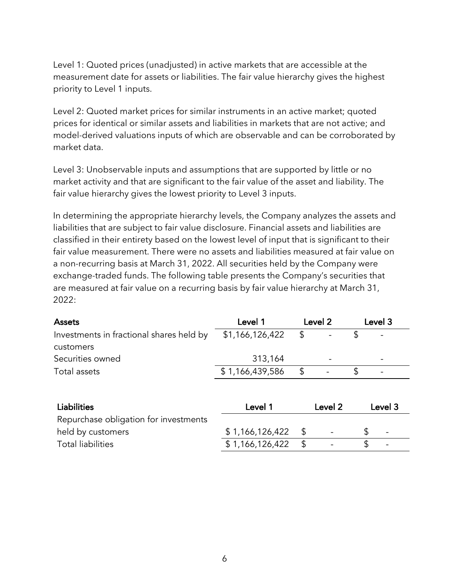Level 1: Quoted prices (unadjusted) in active markets that are accessible at the measurement date for assets or liabilities. The fair value hierarchy gives the highest priority to Level 1 inputs.

Level 2: Quoted market prices for similar instruments in an active market; quoted prices for identical or similar assets and liabilities in markets that are not active; and model-derived valuations inputs of which are observable and can be corroborated by market data.

Level 3: Unobservable inputs and assumptions that are supported by little or no market activity and that are significant to the fair value of the asset and liability. The fair value hierarchy gives the lowest priority to Level 3 inputs.

In determining the appropriate hierarchy levels, the Company analyzes the assets and liabilities that are subject to fair value disclosure. Financial assets and liabilities are classified in their entirety based on the lowest level of input that is significant to their fair value measurement. There were no assets and liabilities measured at fair value on a non-recurring basis at March 31, 2022. All securities held by the Company were exchange-traded funds. The following table presents the Company's securities that are measured at fair value on a recurring basis by fair value hierarchy at March 31, 2022:

| <b>Assets</b>                            | Level 1         | Level 2 |                          | Level 3 |                          |
|------------------------------------------|-----------------|---------|--------------------------|---------|--------------------------|
| Investments in fractional shares held by | \$1,166,126,422 |         |                          |         | $\overline{\phantom{0}}$ |
| customers                                |                 |         |                          |         |                          |
| Securities owned                         | 313,164         |         |                          |         |                          |
| Total assets                             | \$1,166,439,586 |         | $\overline{\phantom{0}}$ |         |                          |

| <b>Liabilities</b>                    | Level 1         | Level 2 |                          | Level 3 |                          |
|---------------------------------------|-----------------|---------|--------------------------|---------|--------------------------|
| Repurchase obligation for investments |                 |         |                          |         |                          |
| held by customers                     | \$1,166,126,422 | - S     | $\overline{\phantom{0}}$ |         | $\overline{\phantom{a}}$ |
| <b>Total liabilities</b>              | \$1,166,126,422 |         | $\overline{\phantom{0}}$ |         |                          |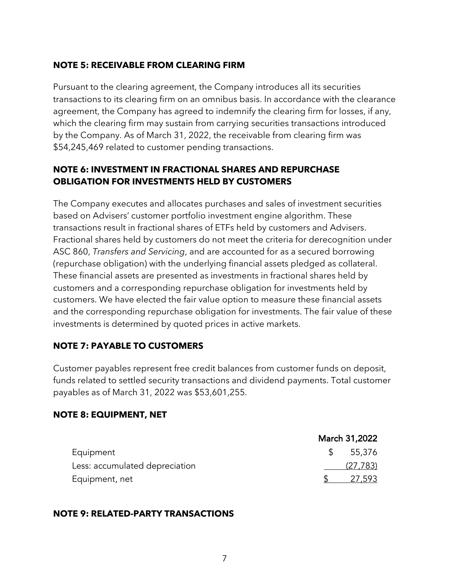#### **NOTE 5: RECEIVABLE FROM CLEARING FIRM**

Pursuant to the clearing agreement, the Company introduces all its securities transactions to its clearing firm on an omnibus basis. In accordance with the clearance agreement, the Company has agreed to indemnify the clearing firm for losses, if any, which the clearing firm may sustain from carrying securities transactions introduced by the Company. As of March 31, 2022, the receivable from clearing firm was \$54,245,469 related to customer pending transactions.

# **NOTE 6: INVESTMENT IN FRACTIONAL SHARES AND REPURCHASE OBLIGATION FOR INVESTMENTS HELD BY CUSTOMERS**

The Company executes and allocates purchases and sales of investment securities based on Advisers' customer portfolio investment engine algorithm. These transactions result in fractional shares of ETFs held by customers and Advisers. Fractional shares held by customers do not meet the criteria for derecognition under ASC 860, *Transfers and Servicing*, and are accounted for as a secured borrowing (repurchase obligation) with the underlying financial assets pledged as collateral. These financial assets are presented as investments in fractional shares held by customers and a corresponding repurchase obligation for investments held by customers. We have elected the fair value option to measure these financial assets and the corresponding repurchase obligation for investments. The fair value of these investments is determined by quoted prices in active markets.

# **NOTE 7: PAYABLE TO CUSTOMERS**

Customer payables represent free credit balances from customer funds on deposit, funds related to settled security transactions and dividend payments. Total customer payables as of March 31, 2022 was \$53,601,255.

#### **NOTE 8: EQUIPMENT, NET**

|                                | March 31,2022 |
|--------------------------------|---------------|
| Equipment                      | \$5,376       |
| Less: accumulated depreciation | (27, 783)     |
| Equipment, net                 | 27.593        |

#### **NOTE 9: RELATED-PARTY TRANSACTIONS**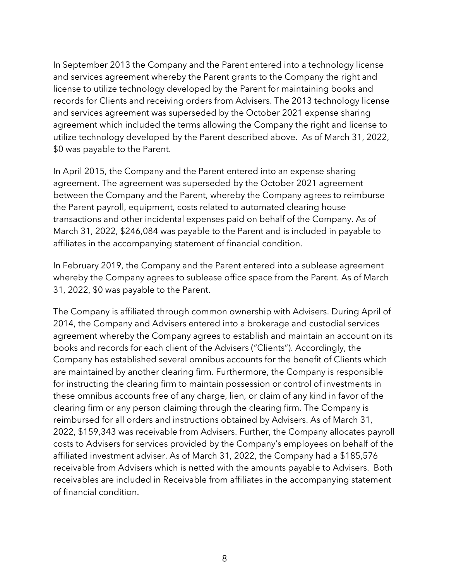In September 2013 the Company and the Parent entered into a technology license and services agreement whereby the Parent grants to the Company the right and license to utilize technology developed by the Parent for maintaining books and records for Clients and receiving orders from Advisers. The 2013 technology license and services agreement was superseded by the October 2021 expense sharing agreement which included the terms allowing the Company the right and license to utilize technology developed by the Parent described above. As of March 31, 2022, \$0 was payable to the Parent.

In April 2015, the Company and the Parent entered into an expense sharing agreement. The agreement was superseded by the October 2021 agreement between the Company and the Parent, whereby the Company agrees to reimburse the Parent payroll, equipment, costs related to automated clearing house transactions and other incidental expenses paid on behalf of the Company. As of March 31, 2022, \$246,084 was payable to the Parent and is included in payable to affiliates in the accompanying statement of financial condition.

In February 2019, the Company and the Parent entered into a sublease agreement whereby the Company agrees to sublease office space from the Parent. As of March 31, 2022, \$0 was payable to the Parent.

The Company is affiliated through common ownership with Advisers. During April of 2014, the Company and Advisers entered into a brokerage and custodial services agreement whereby the Company agrees to establish and maintain an account on its books and records for each client of the Advisers ("Clients"). Accordingly, the Company has established several omnibus accounts for the benefit of Clients which are maintained by another clearing firm. Furthermore, the Company is responsible for instructing the clearing firm to maintain possession or control of investments in these omnibus accounts free of any charge, lien, or claim of any kind in favor of the clearing firm or any person claiming through the clearing firm. The Company is reimbursed for all orders and instructions obtained by Advisers. As of March 31, 2022, \$159,343 was receivable from Advisers. Further, the Company allocates payroll costs to Advisers for services provided by the Company's employees on behalf of the affiliated investment adviser. As of March 31, 2022, the Company had a \$185,576 receivable from Advisers which is netted with the amounts payable to Advisers. Both receivables are included in Receivable from affiliates in the accompanying statement of financial condition.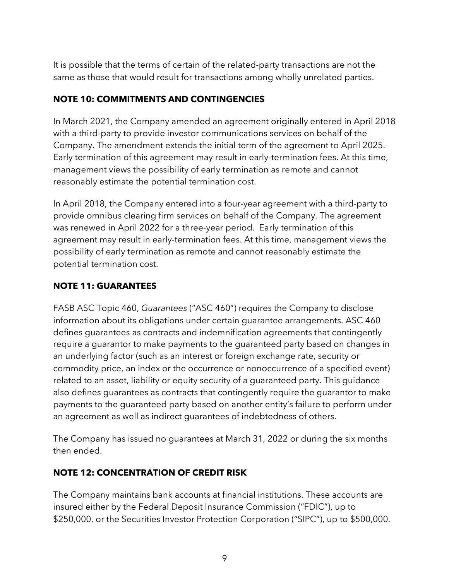It is possible that the terms of certain of the related-party transactions are not the same as those that would result for transactions among wholly unrelated parties.

# **NOTE 10: COMMITMENTS AND CONTINGENCIES**

In March 2021, the Company amended an agreement originally entered in April 2018 with a third-party to provide investor communications services on behalf of the Company. The amendment extends the initial term of the agreement to April 2025. Early termination of this agreement may result in early-termination fees. At this time, management views the possibility of early termination as remote and cannot reasonably estimate the potential termination cost.

In April 2018, the Company entered into a four-year agreement with a third-party to provide omnibus clearing firm services on behalf of the Company. The agreement was renewed in April 2022 for a three-year period. Early termination of this agreement may result in early-termination fees. At this time, management views the possibility of early termination as remote and cannot reasonably estimate the potential termination cost.

# **NOTE 11: GUARANTEES**

FASB ASC Topic 460, *Guarantees* ("ASC 460") requires the Company to disclose information about its obligations under certain guarantee arrangements. ASC 460 defines guarantees as contracts and indemnification agreements that contingently require a guarantor to make payments to the guaranteed party based on changes in an underlying factor (such as an interest or foreign exchange rate, security or commodity price, an index or the occurrence or nonoccurrence of a specified event) related to an asset, liability or equity security of a guaranteed party. This guidance also defines guarantees as contracts that contingently require the guarantor to make payments to the guaranteed party based on another entity's failure to perform under an agreement as well as indirect guarantees of indebtedness of others.

The Company has issued no guarantees at March 31, 2022 or during the six months then ended.

# **NOTE 12: CONCENTRATION OF CREDIT RISK**

The Company maintains bank accounts at financial institutions. These accounts are insured either by the Federal Deposit Insurance Commission ("FDIC"), up to \$250,000, or the Securities Investor Protection Corporation ("SIPC"), up to \$500,000.